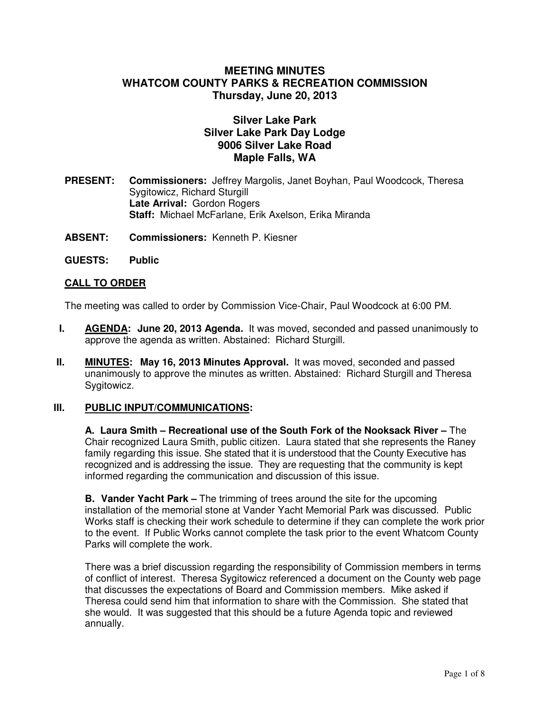# **MEETING MINUTES WHATCOM COUNTY PARKS & RECREATION COMMISSION Thursday, June 20, 2013**

# **Silver Lake Park Silver Lake Park Day Lodge 9006 Silver Lake Road Maple Falls, WA**

- **PRESENT: Commissioners:** Jeffrey Margolis, Janet Boyhan, Paul Woodcock, Theresa Sygitowicz, Richard Sturgill  **Late Arrival:** Gordon Rogers **Staff:** Michael McFarlane, Erik Axelson, Erika Miranda
- **ABSENT: Commissioners:** Kenneth P. Kiesner
- **GUESTS: Public**

### **CALL TO ORDER**

The meeting was called to order by Commission Vice-Chair, Paul Woodcock at 6:00 PM.

- **I. AGENDA: June 20, 2013 Agenda.** It was moved, seconded and passed unanimously to approve the agenda as written. Abstained: Richard Sturgill.
- **II. MINUTES: May 16, 2013 Minutes Approval.** It was moved, seconded and passed unanimously to approve the minutes as written. Abstained: Richard Sturgill and Theresa Sygitowicz.

### **III. PUBLIC INPUT/COMMUNICATIONS:**

**A. Laura Smith – Recreational use of the South Fork of the Nooksack River –** The Chair recognized Laura Smith, public citizen. Laura stated that she represents the Raney family regarding this issue. She stated that it is understood that the County Executive has recognized and is addressing the issue. They are requesting that the community is kept informed regarding the communication and discussion of this issue.

**B. Vander Yacht Park –** The trimming of trees around the site for the upcoming installation of the memorial stone at Vander Yacht Memorial Park was discussed. Public Works staff is checking their work schedule to determine if they can complete the work prior to the event. If Public Works cannot complete the task prior to the event Whatcom County Parks will complete the work.

There was a brief discussion regarding the responsibility of Commission members in terms of conflict of interest. Theresa Sygitowicz referenced a document on the County web page that discusses the expectations of Board and Commission members. Mike asked if Theresa could send him that information to share with the Commission. She stated that she would. It was suggested that this should be a future Agenda topic and reviewed annually.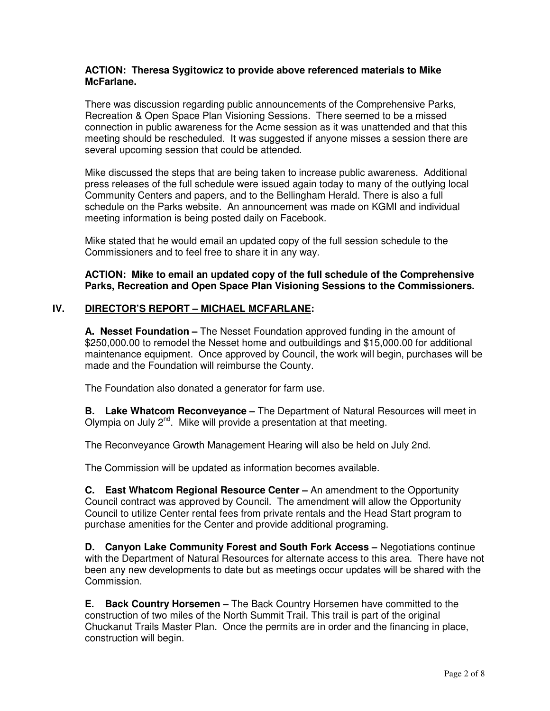#### **ACTION: Theresa Sygitowicz to provide above referenced materials to Mike McFarlane.**

There was discussion regarding public announcements of the Comprehensive Parks, Recreation & Open Space Plan Visioning Sessions. There seemed to be a missed connection in public awareness for the Acme session as it was unattended and that this meeting should be rescheduled. It was suggested if anyone misses a session there are several upcoming session that could be attended.

Mike discussed the steps that are being taken to increase public awareness. Additional press releases of the full schedule were issued again today to many of the outlying local Community Centers and papers, and to the Bellingham Herald. There is also a full schedule on the Parks website. An announcement was made on KGMI and individual meeting information is being posted daily on Facebook.

Mike stated that he would email an updated copy of the full session schedule to the Commissioners and to feel free to share it in any way.

**ACTION: Mike to email an updated copy of the full schedule of the Comprehensive Parks, Recreation and Open Space Plan Visioning Sessions to the Commissioners.** 

## **IV. DIRECTOR'S REPORT – MICHAEL MCFARLANE:**

**A. Nesset Foundation –** The Nesset Foundation approved funding in the amount of \$250,000.00 to remodel the Nesset home and outbuildings and \$15,000.00 for additional maintenance equipment. Once approved by Council, the work will begin, purchases will be made and the Foundation will reimburse the County.

The Foundation also donated a generator for farm use.

**B. Lake Whatcom Reconveyance –** The Department of Natural Resources will meet in Olympia on July  $2^{nd}$ . Mike will provide a presentation at that meeting.

The Reconveyance Growth Management Hearing will also be held on July 2nd.

The Commission will be updated as information becomes available.

**C. East Whatcom Regional Resource Center –** An amendment to the Opportunity Council contract was approved by Council. The amendment will allow the Opportunity Council to utilize Center rental fees from private rentals and the Head Start program to purchase amenities for the Center and provide additional programing.

**D. Canyon Lake Community Forest and South Fork Access –** Negotiations continue with the Department of Natural Resources for alternate access to this area. There have not been any new developments to date but as meetings occur updates will be shared with the Commission.

**E. Back Country Horsemen –** The Back Country Horsemen have committed to the construction of two miles of the North Summit Trail. This trail is part of the original Chuckanut Trails Master Plan. Once the permits are in order and the financing in place, construction will begin.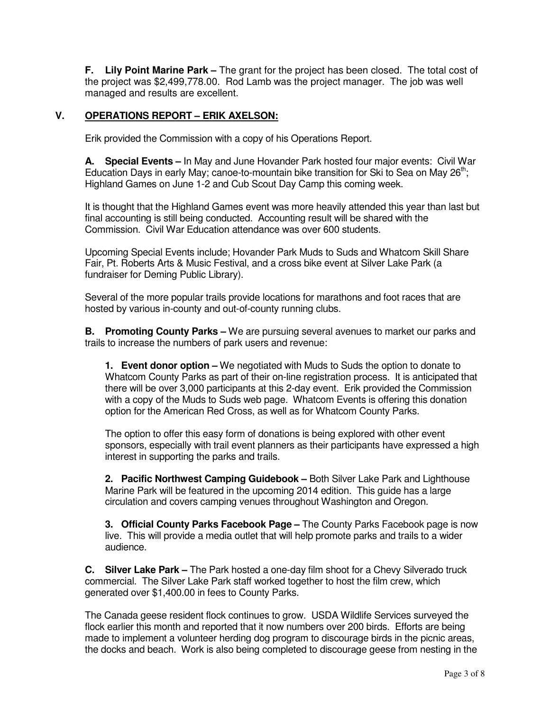**F. Lily Point Marine Park –** The grant for the project has been closed. The total cost of the project was \$2,499,778.00. Rod Lamb was the project manager. The job was well managed and results are excellent.

### **V. OPERATIONS REPORT – ERIK AXELSON:**

Erik provided the Commission with a copy of his Operations Report.

**A. Special Events –** In May and June Hovander Park hosted four major events: Civil War Education Days in early May; canoe-to-mountain bike transition for Ski to Sea on May  $26<sup>th</sup>$ ; Highland Games on June 1-2 and Cub Scout Day Camp this coming week.

It is thought that the Highland Games event was more heavily attended this year than last but final accounting is still being conducted. Accounting result will be shared with the Commission. Civil War Education attendance was over 600 students.

Upcoming Special Events include; Hovander Park Muds to Suds and Whatcom Skill Share Fair, Pt. Roberts Arts & Music Festival, and a cross bike event at Silver Lake Park (a fundraiser for Deming Public Library).

Several of the more popular trails provide locations for marathons and foot races that are hosted by various in-county and out-of-county running clubs.

**B. Promoting County Parks –** We are pursuing several avenues to market our parks and trails to increase the numbers of park users and revenue:

**1. Event donor option –** We negotiated with Muds to Suds the option to donate to Whatcom County Parks as part of their on-line registration process. It is anticipated that there will be over 3,000 participants at this 2-day event. Erik provided the Commission with a copy of the Muds to Suds web page. Whatcom Events is offering this donation option for the American Red Cross, as well as for Whatcom County Parks.

The option to offer this easy form of donations is being explored with other event sponsors, especially with trail event planners as their participants have expressed a high interest in supporting the parks and trails.

**2. Pacific Northwest Camping Guidebook –** Both Silver Lake Park and Lighthouse Marine Park will be featured in the upcoming 2014 edition. This guide has a large circulation and covers camping venues throughout Washington and Oregon.

**3. Official County Parks Facebook Page –** The County Parks Facebook page is now live. This will provide a media outlet that will help promote parks and trails to a wider audience.

**C. Silver Lake Park –** The Park hosted a one-day film shoot for a Chevy Silverado truck commercial. The Silver Lake Park staff worked together to host the film crew, which generated over \$1,400.00 in fees to County Parks.

The Canada geese resident flock continues to grow. USDA Wildlife Services surveyed the flock earlier this month and reported that it now numbers over 200 birds. Efforts are being made to implement a volunteer herding dog program to discourage birds in the picnic areas, the docks and beach. Work is also being completed to discourage geese from nesting in the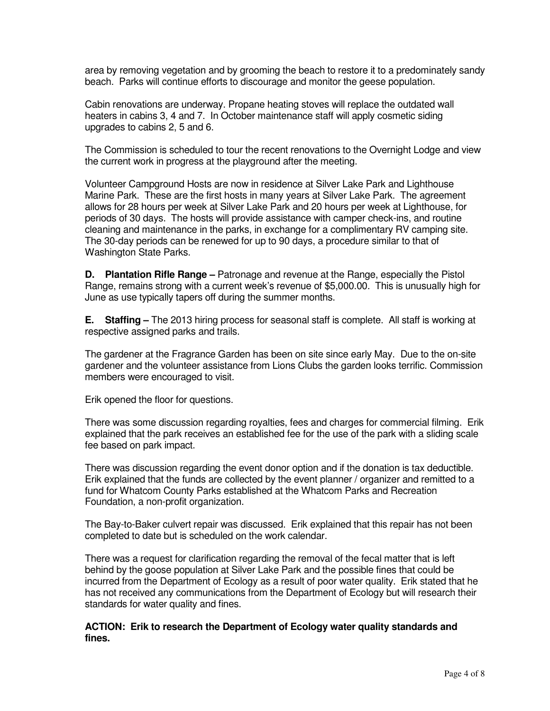area by removing vegetation and by grooming the beach to restore it to a predominately sandy beach. Parks will continue efforts to discourage and monitor the geese population.

Cabin renovations are underway. Propane heating stoves will replace the outdated wall heaters in cabins 3, 4 and 7. In October maintenance staff will apply cosmetic siding upgrades to cabins 2, 5 and 6.

The Commission is scheduled to tour the recent renovations to the Overnight Lodge and view the current work in progress at the playground after the meeting.

Volunteer Campground Hosts are now in residence at Silver Lake Park and Lighthouse Marine Park. These are the first hosts in many years at Silver Lake Park. The agreement allows for 28 hours per week at Silver Lake Park and 20 hours per week at Lighthouse, for periods of 30 days. The hosts will provide assistance with camper check-ins, and routine cleaning and maintenance in the parks, in exchange for a complimentary RV camping site. The 30-day periods can be renewed for up to 90 days, a procedure similar to that of Washington State Parks.

**D. Plantation Rifle Range –** Patronage and revenue at the Range, especially the Pistol Range, remains strong with a current week's revenue of \$5,000.00. This is unusually high for June as use typically tapers off during the summer months.

**E. Staffing –** The 2013 hiring process for seasonal staff is complete. All staff is working at respective assigned parks and trails.

The gardener at the Fragrance Garden has been on site since early May. Due to the on-site gardener and the volunteer assistance from Lions Clubs the garden looks terrific. Commission members were encouraged to visit.

Erik opened the floor for questions.

There was some discussion regarding royalties, fees and charges for commercial filming. Erik explained that the park receives an established fee for the use of the park with a sliding scale fee based on park impact.

There was discussion regarding the event donor option and if the donation is tax deductible. Erik explained that the funds are collected by the event planner / organizer and remitted to a fund for Whatcom County Parks established at the Whatcom Parks and Recreation Foundation, a non-profit organization.

The Bay-to-Baker culvert repair was discussed. Erik explained that this repair has not been completed to date but is scheduled on the work calendar.

There was a request for clarification regarding the removal of the fecal matter that is left behind by the goose population at Silver Lake Park and the possible fines that could be incurred from the Department of Ecology as a result of poor water quality. Erik stated that he has not received any communications from the Department of Ecology but will research their standards for water quality and fines.

#### **ACTION: Erik to research the Department of Ecology water quality standards and fines.**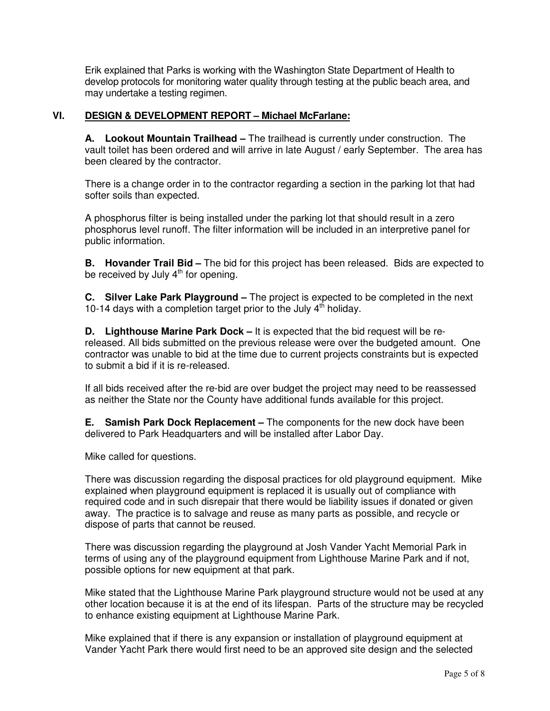Erik explained that Parks is working with the Washington State Department of Health to develop protocols for monitoring water quality through testing at the public beach area, and may undertake a testing regimen.

### **VI. DESIGN & DEVELOPMENT REPORT – Michael McFarlane:**

**A. Lookout Mountain Trailhead –** The trailhead is currently under construction. The vault toilet has been ordered and will arrive in late August / early September. The area has been cleared by the contractor.

There is a change order in to the contractor regarding a section in the parking lot that had softer soils than expected.

A phosphorus filter is being installed under the parking lot that should result in a zero phosphorus level runoff. The filter information will be included in an interpretive panel for public information.

**B. Hovander Trail Bid –** The bid for this project has been released. Bids are expected to be received by July  $4<sup>th</sup>$  for opening.

**C. Silver Lake Park Playground –** The project is expected to be completed in the next 10-14 days with a completion target prior to the July  $4<sup>th</sup>$  holiday.

**D. Lighthouse Marine Park Dock –** It is expected that the bid request will be rereleased. All bids submitted on the previous release were over the budgeted amount. One contractor was unable to bid at the time due to current projects constraints but is expected to submit a bid if it is re-released.

If all bids received after the re-bid are over budget the project may need to be reassessed as neither the State nor the County have additional funds available for this project.

**E. Samish Park Dock Replacement –** The components for the new dock have been delivered to Park Headquarters and will be installed after Labor Day.

Mike called for questions.

There was discussion regarding the disposal practices for old playground equipment. Mike explained when playground equipment is replaced it is usually out of compliance with required code and in such disrepair that there would be liability issues if donated or given away. The practice is to salvage and reuse as many parts as possible, and recycle or dispose of parts that cannot be reused.

There was discussion regarding the playground at Josh Vander Yacht Memorial Park in terms of using any of the playground equipment from Lighthouse Marine Park and if not, possible options for new equipment at that park.

Mike stated that the Lighthouse Marine Park playground structure would not be used at any other location because it is at the end of its lifespan. Parts of the structure may be recycled to enhance existing equipment at Lighthouse Marine Park.

Mike explained that if there is any expansion or installation of playground equipment at Vander Yacht Park there would first need to be an approved site design and the selected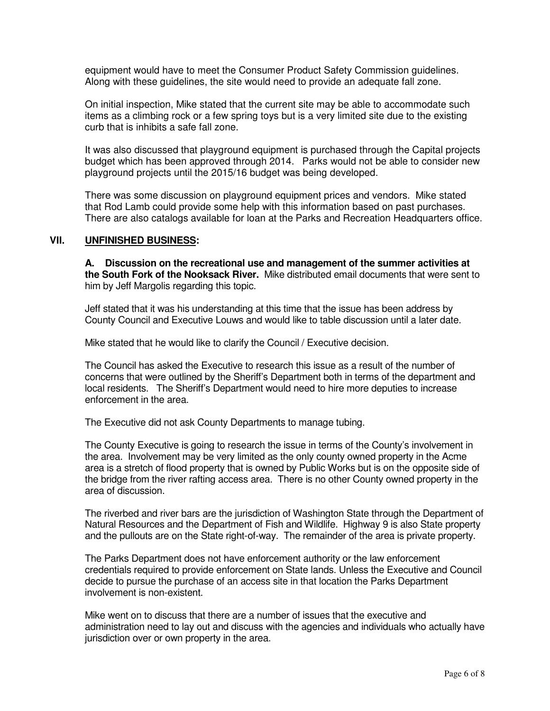equipment would have to meet the Consumer Product Safety Commission guidelines. Along with these guidelines, the site would need to provide an adequate fall zone.

On initial inspection, Mike stated that the current site may be able to accommodate such items as a climbing rock or a few spring toys but is a very limited site due to the existing curb that is inhibits a safe fall zone.

It was also discussed that playground equipment is purchased through the Capital projects budget which has been approved through 2014. Parks would not be able to consider new playground projects until the 2015/16 budget was being developed.

There was some discussion on playground equipment prices and vendors. Mike stated that Rod Lamb could provide some help with this information based on past purchases. There are also catalogs available for loan at the Parks and Recreation Headquarters office.

#### **VII. UNFINISHED BUSINESS:**

**A. Discussion on the recreational use and management of the summer activities at the South Fork of the Nooksack River.** Mike distributed email documents that were sent to him by Jeff Margolis regarding this topic.

Jeff stated that it was his understanding at this time that the issue has been address by County Council and Executive Louws and would like to table discussion until a later date.

Mike stated that he would like to clarify the Council / Executive decision.

The Council has asked the Executive to research this issue as a result of the number of concerns that were outlined by the Sheriff's Department both in terms of the department and local residents. The Sheriff's Department would need to hire more deputies to increase enforcement in the area.

The Executive did not ask County Departments to manage tubing.

The County Executive is going to research the issue in terms of the County's involvement in the area. Involvement may be very limited as the only county owned property in the Acme area is a stretch of flood property that is owned by Public Works but is on the opposite side of the bridge from the river rafting access area. There is no other County owned property in the area of discussion.

The riverbed and river bars are the jurisdiction of Washington State through the Department of Natural Resources and the Department of Fish and Wildlife. Highway 9 is also State property and the pullouts are on the State right-of-way. The remainder of the area is private property.

The Parks Department does not have enforcement authority or the law enforcement credentials required to provide enforcement on State lands. Unless the Executive and Council decide to pursue the purchase of an access site in that location the Parks Department involvement is non-existent.

Mike went on to discuss that there are a number of issues that the executive and administration need to lay out and discuss with the agencies and individuals who actually have jurisdiction over or own property in the area.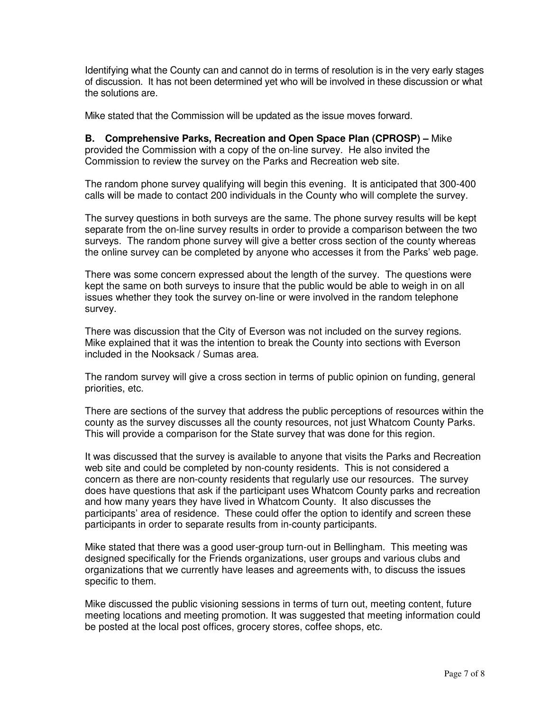Identifying what the County can and cannot do in terms of resolution is in the very early stages of discussion. It has not been determined yet who will be involved in these discussion or what the solutions are.

Mike stated that the Commission will be updated as the issue moves forward.

**B. Comprehensive Parks, Recreation and Open Space Plan (CPROSP) –** Mike provided the Commission with a copy of the on-line survey. He also invited the Commission to review the survey on the Parks and Recreation web site.

The random phone survey qualifying will begin this evening. It is anticipated that 300-400 calls will be made to contact 200 individuals in the County who will complete the survey.

The survey questions in both surveys are the same. The phone survey results will be kept separate from the on-line survey results in order to provide a comparison between the two surveys. The random phone survey will give a better cross section of the county whereas the online survey can be completed by anyone who accesses it from the Parks' web page.

There was some concern expressed about the length of the survey. The questions were kept the same on both surveys to insure that the public would be able to weigh in on all issues whether they took the survey on-line or were involved in the random telephone survey.

There was discussion that the City of Everson was not included on the survey regions. Mike explained that it was the intention to break the County into sections with Everson included in the Nooksack / Sumas area.

The random survey will give a cross section in terms of public opinion on funding, general priorities, etc.

There are sections of the survey that address the public perceptions of resources within the county as the survey discusses all the county resources, not just Whatcom County Parks. This will provide a comparison for the State survey that was done for this region.

It was discussed that the survey is available to anyone that visits the Parks and Recreation web site and could be completed by non-county residents. This is not considered a concern as there are non-county residents that regularly use our resources. The survey does have questions that ask if the participant uses Whatcom County parks and recreation and how many years they have lived in Whatcom County. It also discusses the participants' area of residence. These could offer the option to identify and screen these participants in order to separate results from in-county participants.

Mike stated that there was a good user-group turn-out in Bellingham. This meeting was designed specifically for the Friends organizations, user groups and various clubs and organizations that we currently have leases and agreements with, to discuss the issues specific to them.

Mike discussed the public visioning sessions in terms of turn out, meeting content, future meeting locations and meeting promotion. It was suggested that meeting information could be posted at the local post offices, grocery stores, coffee shops, etc.